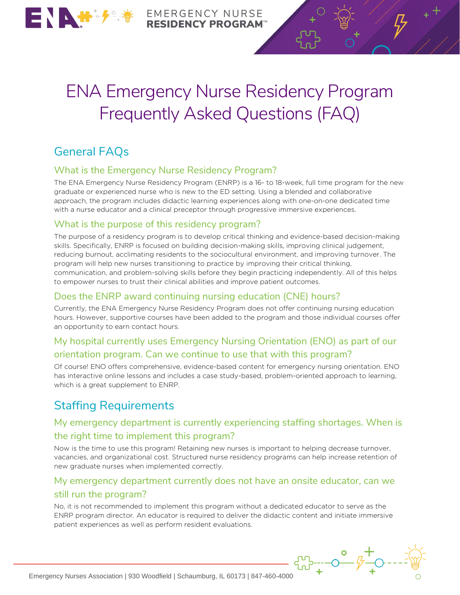

**EMERGENCY NURSE DENCY PROGRAM** 

# ENA Emergency Nurse Residency Program Frequently Asked Questions (FAQ)

# General FAQs

#### What is the Emergency Nurse Residency Program?

The ENA Emergency Nurse Residency Program (ENRP) is a 16- to 18-week, full time program for the new graduate or experienced nurse who is new to the ED setting. Using a blended and collaborative approach, the program includes didactic learning experiences along with one-on-one dedicated time with a nurse educator and a clinical preceptor through progressive immersive experiences.

#### What is the purpose of this residency program?

The purpose of a residency program is to develop critical thinking and evidence-based decision-making skills. Specifically, ENRP is focused on building decision-making skills, improving clinical judgement, reducing burnout, acclimating residents to the sociocultural environment, and improving turnover. The program will help new nurses transitioning to practice by improving their critical thinking, communication, and problem-solving skills before they begin practicing independently. All of this helps to empower nurses to trust their clinical abilities and improve patient outcomes.

#### Does the ENRP award continuing nursing education (CNE) hours?

Currently, the ENA Emergency Nurse Residency Program does not offer continuing nursing education hours. However, supportive courses have been added to the program and those individual courses offer an opportunity to earn contact hours.

#### My hospital currently uses Emergency Nursing Orientation (ENO) as part of our orientation program. Can we continue to use that with this program?

Of course! ENO offers comprehensive, evidence-based content for emergency nursing orientation. ENO has interactive online lessons and includes a case study-based, problem-oriented approach to learning, which is a great supplement to ENRP.

## Staffing Requirements

#### My emergency department is currently experiencing staffing shortages. When is the right time to implement this program?

Now is the time to use this program! Retaining new nurses is important to helping decrease turnover, vacancies, and organizational cost. Structured nurse residency programs can help increase retention of new graduate nurses when implemented correctly.

#### My emergency department currently does not have an onsite educator, can we still run the program?

No, it is not recommended to implement this program without a dedicated educator to serve as the ENRP program director. An educator is required to deliver the didactic content and initiate immersive patient experiences as well as perform resident evaluations.

 $\begin{array}{cc}\n & \circ & + \\
 & \circ & \downarrow & \downarrow \\
\text{Energy Nurese Association | 930 Woodfield | Schaumburg, IL 60173 | 847-460-4000}\n\end{array}$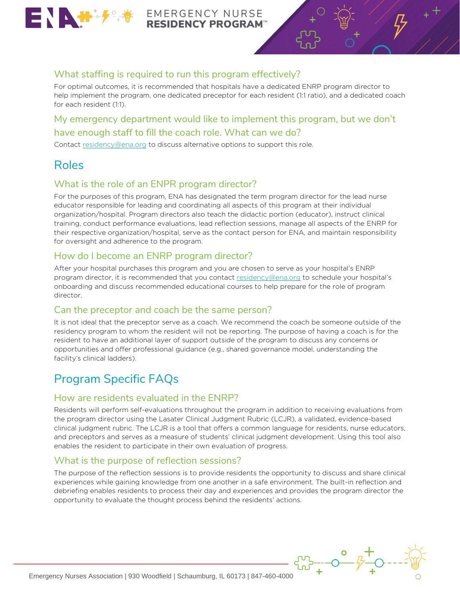

**EMERGENCY NURSE ESIDENCY PROGRAM** 

#### What staffing is required to run this program effectively?

For optimal outcomes, it is recommended that hospitals have a dedicated ENRP program director to help implement the program, one dedicated preceptor for each resident (1:1 ratio), and a dedicated coach for each resident (1:1).

#### My emergency department would like to implement this program, but we don't have enough staff to fill the coach role. What can we do?

Contact [residency@ena.org](mailto:residency@ena.org) to discuss alternative options to support this role.

## Roles

#### What is the role of an ENPR program director?

For the purposes of this program, ENA has designated the term program director for the lead nurse educator responsible for leading and coordinating all aspects of this program at their individual organization/hospital. Program directors also teach the didactic portion (educator), instruct clinical training, conduct performance evaluations, lead reflection sessions, manage all aspects of the ENRP for their respective organization/hospital, serve as the contact person for ENA, and maintain responsibility for oversight and adherence to the program.

#### How do I become an ENRP program director?

After your hospital purchases this program and you are chosen to serve as your hospital's ENRP program director, it is recommended that you contact [residency@ena.org](mailto:residency@ena.org) to schedule your hospital's onboarding and discuss recommended educational courses to help prepare for the role of program director.

#### Can the preceptor and coach be the same person?

It is not ideal that the preceptor serve as a coach. We recommend the coach be someone outside of the residency program to whom the resident will not be reporting. The purpose of having a coach is for the resident to have an additional layer of support outside of the program to discuss any concerns or opportunities and offer professional guidance (e.g., shared governance model, understanding the facility's clinical ladders).

# Program Specific FAQs

#### How are residents evaluated in the ENRP?

Residents will perform self-evaluations throughout the program in addition to receiving evaluations from the program director using the Lasater Clinical Judgment Rubric (LCJR), a validated, evidence-based clinical judgment rubric. The LCJR is a tool that offers a common language for residents, nurse educators, and preceptors and serves as a measure of students' clinical judgment development. Using this tool also enables the resident to participate in their own evaluation of progress.

#### What is the purpose of reflection sessions?

The purpose of the reflection sessions is to provide residents the opportunity to discuss and share clinical experiences while gaining knowledge from one another in a safe environment. The built-in reflection and debriefing enables residents to process their day and experiences and provides the program director the opportunity to evaluate the thought process behind the residents' actions.

 $\begin{array}{cc}\n & & \mathbf{0} \\
 & & \mathbf{0} \\
 \hline\n\end{array}$   $\begin{array}{cc}\n & & \mathbf{0} \\
 & & \mathbf{0} \\
 + & & \mathbf{0}\n\end{array}$  +